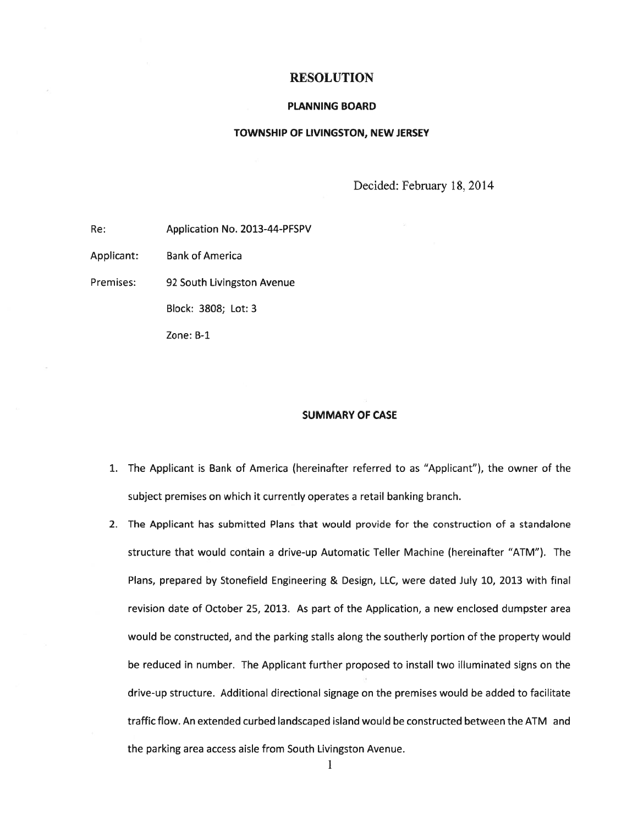#### RESOLUTION

#### PLANNING BOARD

#### TOWNSHIP OF LIVINGSTON, NEW JERSEY

Decided: February 18. 2014

Re: Application No. 2013-44-PFSPV

Applicant: Bank of America

Premises: 92 South Livingston Avenue

Block: 3808; Lot: 3

Zone: B-1

#### SUMMARY OF CASE

- 1. The Applicant is Bank of America (hereinafter referred to as "Applicant"), the owner of the subject premises on which it currently operates <sup>a</sup> retail banking branch.
- 2. The Applicant has submitted Plans that would provide for the construction of <sup>a</sup> standalone structure that would contain <sup>a</sup> drive-up Automatic Teller Machine (hereinafter "ATM"). The Plans, prepared by Stonefield Engineering & Design, LLC, were dated July 10, 2013 with final revision date of October 25, 2013. As par<sup>t</sup> of the Application, <sup>a</sup> new enclosed dumpster area would be constructed, and the parking stalls along the southerly portion of the property would be reduced in number. The Applicant further proposed to install two illuminated signs on the drive-up structure. Additional directional signage on the premises would be added to facilitate traffic flow. An extended curbed landscaped island would be constructed between the ATM and the parking area access aisle from South Livingston Avenue.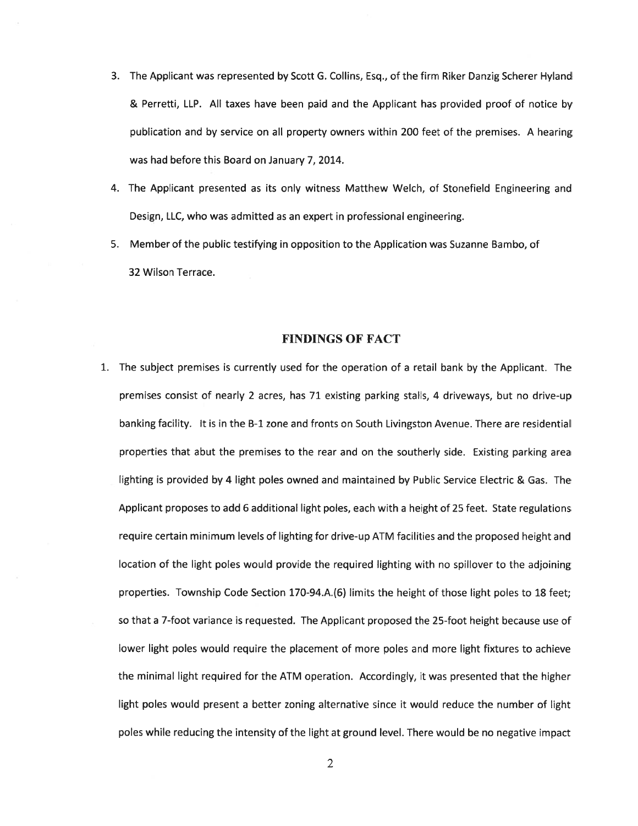- 3. The Applicant was represented by Scott G. Collins, Esq., of the firm Riker Danzig Scherer Hyland & Perretti, LLP. All taxes have been paid and the Applicant has provided proof of notice by publication and by service on all property owners within 200 feet of the premises. A hearing was had before this Board on January 7, 2014.
- 4. The Applicant presented as its only witness Matthew Welch, of Stonefield Engineering and Design, LLC, who was admitted as an exper<sup>t</sup> in professional engineering.
- 5. Member of the public testifying in opposition to the Application was Suzanne Bambo, of 32 Wilson Terrace.

#### FINDINGS OF FACT

1. The subject premises is currently used for the operation of <sup>a</sup> retail bank by the Applicant. The premises consist of nearly 2 acres, has 71 existing parking stalls, 4 driveways, but no drive-up banking facility. It is in the B-1 zone and fronts on South Livingston Avenue. There are residential properties that abut the premises to the rear and on the southerly side. Existing parking area lighting is provided by <sup>4</sup> light poles owned and maintained by Public Service Electric & Gas. The Applicant proposes to add 6 additional light poles, each with <sup>a</sup> height of 25 feet. State regulations require certain minimum levels of lighting for drive-up ATM facilities and the proposed height and location of the light poles would provide the required lighting with no spillover to the adjoining properties. Township Code Section 170-94.A.(6) limits the height of those light poles to 18 feet; so that <sup>a</sup> 7-foot variance is requested. The Applicant proposed the 25-foot height because use of lower light poles would require the placement of more poles and more light fixtures to achieve the minimal light required for the ATM operation. Accordingly, it was presented that the higher light poles would presen<sup>t</sup> <sup>a</sup> better zoning alternative since it would reduce the number of light poles while reducing the intensity of the light at ground level. There would be no negative impact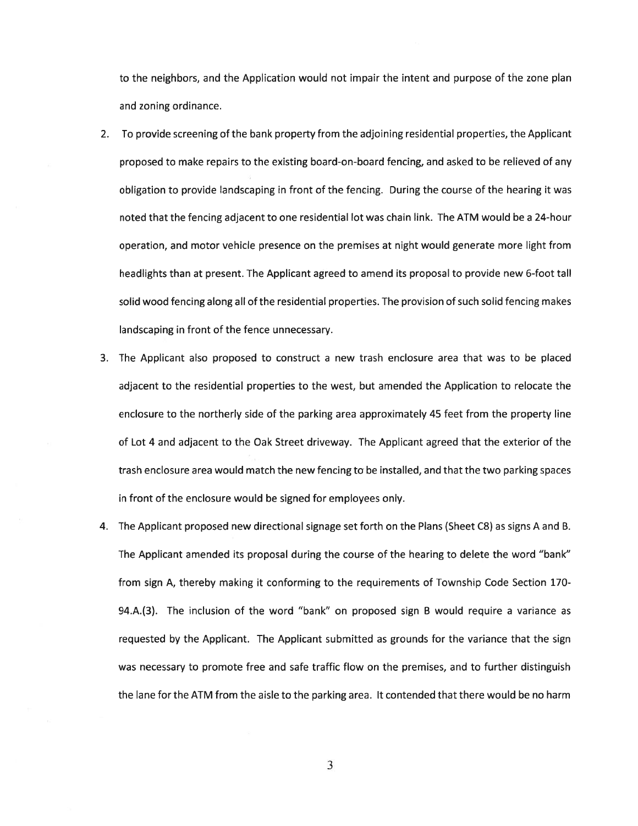to the neighbors, and the Application would not impair the intent and purpose of the zone plan and zoning ordinance.

- 2. To provide screening of the bank property from the adjoining residential properties, the Applicant proposed to make repairs to the existing board-on-board fencing, and asked to be relieved of any obligation to provide landscaping in front of the fencing. During the course of the hearing it was noted that the fencing adjacent to one residential lot was chain link. The ATM would be <sup>a</sup> 24-hour operation, and motor vehicle presence on the premises at night would generate more light from headlights than at present. The Applicant agreed to amend its proposal to provide new 6-foot tall solid wood fencing along all of the residential properties. The provision of such solid fencing makes landscaping in front of the fence unnecessary.
- 3. The Applicant also proposed to construct <sup>a</sup> new trash enclosure area that was to be placed adjacent to the residential properties to the west, but amended the Application to relocate the enclosure to the northerly side of the parking area approximately 45 feet from the property line of Lot 4 and adjacent to the Oak Street driveway. The Applicant agreed that the exterior of the trash enclosure area would match the new fencing to be installed, and that the two parking spaces in front of the enclosure would be signed for employees only.
- 4. The Applicant proposed new directional signage set forth on the Plans (Sheet C8) as signs A and B. The Applicant amended its proposal during the course of the hearing to delete the word "bank" from sign A, thereby making it conforming to the requirements of Township Code Section 170- 94.A.(3). The inclusion of the word "bank" on proposed sign B would require <sup>a</sup> variance as requested by the Applicant. The Applicant submitted as grounds for the variance that the sign was necessary to promote free and safe traffic flow on the premises, and to further distinguish the lane for the ATM from the aisle to the parking area. It contended that there would be no harm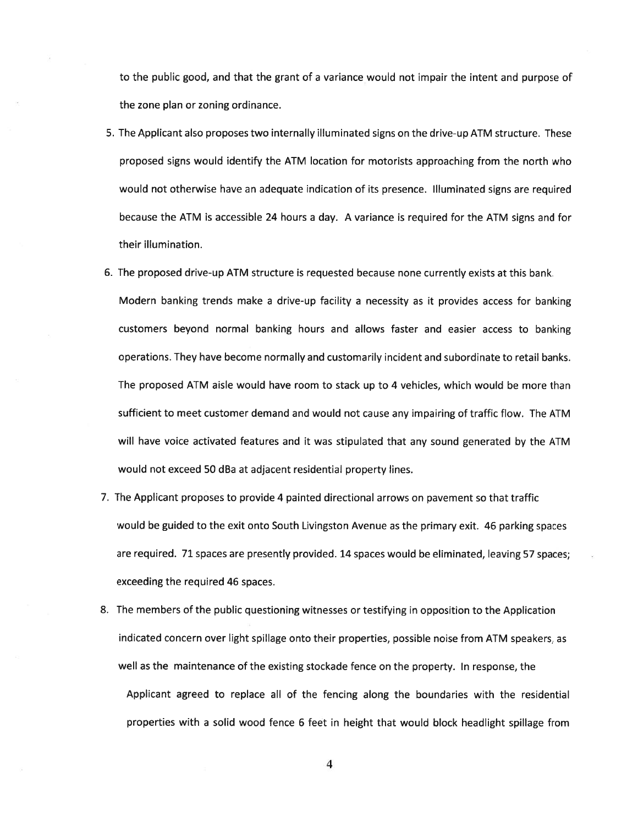to the public good, and that the gran<sup>t</sup> of <sup>a</sup> variance would not impair the intent and purpose of the zone plan or zoning ordinance.

- 5. The Applicant also proposes two internally illuminated signs on the drive-up ATM structure. These proposed signs would identify the ATM location for motorists approaching from the north who would not otherwise have an adequate indication of its presence. Illuminated signs are required because the ATM is accessible 24 hours <sup>a</sup> day. A variance is required for the ATM signs and for their illumination.
- 6. The proposed drive-up ATM structure is requested because none currently exists at this bank. Modern banking trends make <sup>a</sup> drive-up facility <sup>a</sup> necessity as it provides access for banking customers beyond normal banking hours and allows faster and easier access to banking operations. They have become normally and customarily incident and subordinate to retail banks. The proposed ATM aisle would have room to stack up to 4 vehicles, which would be more than sufficient to meet customer demand and would not cause any impairing of traffic flow. The ATM will have voice activated features and it was stipulated that any sound generated by the ATM would not exceed 50 dBa at adjacent residential property lines.
- 7. The Applicant proposes to provide 4 painted directional arrows on pavemen<sup>t</sup> so that traffic would be guided to the exit onto South Livingston Avenue as the primary exit. 46 parking spaces are required. 71 spaces are presently provided. 14 spaces would be eliminated, leaving 57 spaces; exceeding the required 46 spaces.
- 8. The members of the public questioning witnesses or testifying in opposition to the Application indicated concern over light spillage onto their properties, possible noise from ATM speakers, as well as the maintenance of the existing stockade fence on the property. In response, the Applicant agreed to replace all of the fencing along the boundaries with the residential properties with <sup>a</sup> solid wood fence <sup>6</sup> feet in height that would block headlight spillage from

4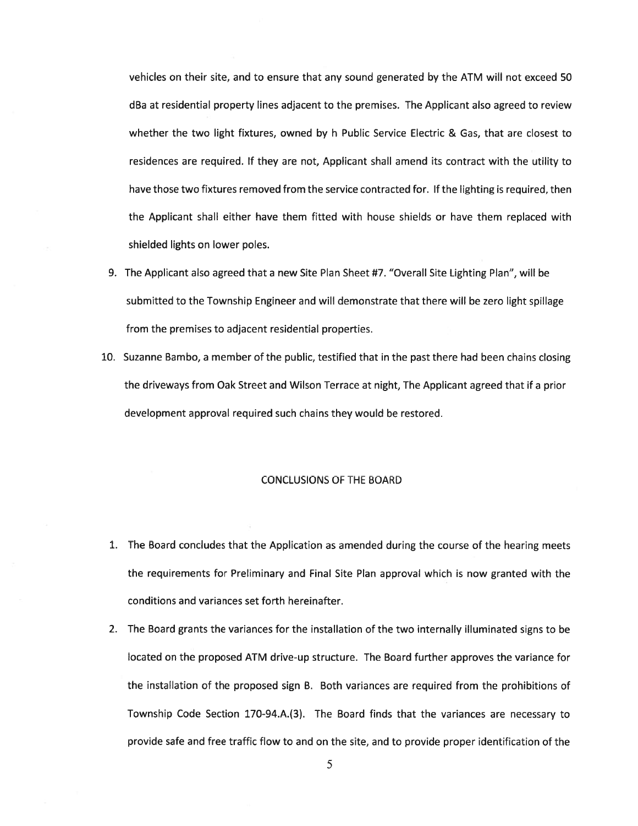vehicles on their site, and to ensure that any sound generated by the ATM will not exceed 50 dBa at residential property lines adjacent to the premises. The Applicant also agreed to review whether the two light fixtures, owned by h Public Service Electric & Gas, that are closest to residences are required. If they are not, Applicant shall amend its contract with the utility to have those two fixtures removed from the service contracted for. If the lighting is required, then the Applicant shall either have them fitted with house shields or have them replaced with shielded lights on lower poles.

- 9. The Applicant also agreed that <sup>a</sup> new Site Plan Sheet #7. "Overall Site Lighting Plan", will be submitted to the Township Engineer and will demonstrate that there will be zero light spillage from the premises to adjacent residential properties.
- 10. Suzanne Bambo, <sup>a</sup> member of the public, testified that in the pas<sup>t</sup> there had been chains closing the driveways from Oak Street and Wilson Terrace at night, The Applicant agreed that if <sup>a</sup> prior development approval required such chains they would be restored.

#### CONCLUSIONS OF THE BOARD

- 1. The Board concludes that the Application as amended during the course of the hearing meets the requirements for Preliminary and Final Site Plan approval which is now granted with the conditions and variances set forth hereinafter.
- 2. The Board grants the variances for the installation of the two internally illuminated signs to be located on the proposed ATM drive-up structure. The Board further approves the variance for the installation of the proposed sign B. Both variances are required from the prohibitions of Township Code Section 170-94.A.(3). The Board finds that the variances are necessary to provide safe and free traffic flow to and on the site, and to provide proper identification of the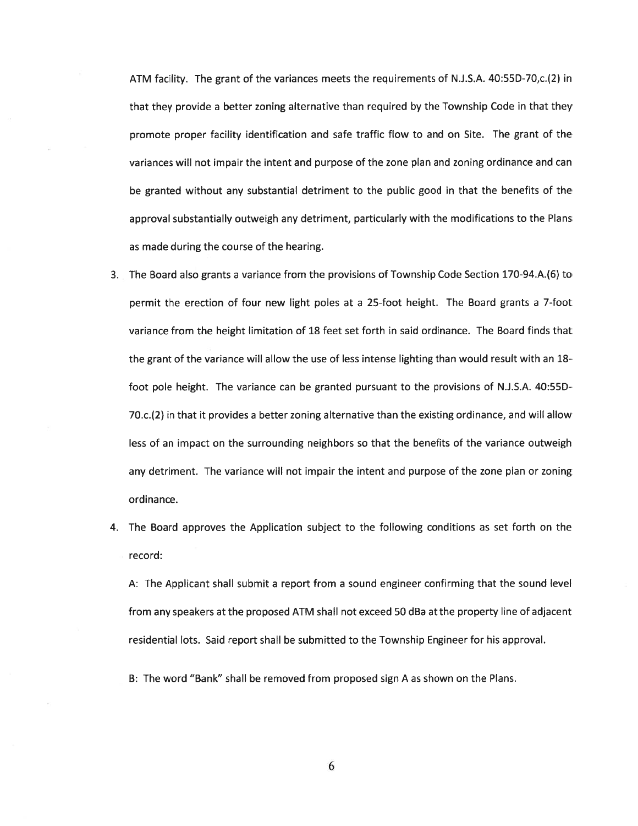ATM facility. The gran<sup>t</sup> of the variances meets the requirements of N.J.S.A. 40:55D-70,c.(2) in that they provide <sup>a</sup> better zoning alternative than required by the Township Code in that they promote proper facility identification and safe traffic flow to and on Site. The gran<sup>t</sup> of the variances will not impair the intent and purpose of the zone plan and zoning ordinance and can be granted without any substantial detriment to the public good in that the benefits of the approval substantially outweigh any detriment, particularly with the modifications to the Plans as made during the course of the hearing.

- 3. The Board also grants <sup>a</sup> variance from the provisions of Township Code Section 170-94.A.(6) to permit the erection of four new light poles at <sup>a</sup> 25-foot height. The Board grants <sup>a</sup> 7-foot variance from the height limitation of 18 feet set forth in said ordinance. The Board finds that the gran<sup>t</sup> of the variance will allow the use of less intense lighting than would result with an 18 foot pole height. The variance can be granted pursuan<sup>t</sup> to the provisions of N.J.S.A. 40:55D-70.c.(2) in that it provides <sup>a</sup> better zoning alternative than the existing ordinance, and will allow less of an impact on the surrounding neighbors so that the benefits of the variance outweigh any detriment. The variance will not impair the intent and purpose of the zone plan or zoning ordinance.
- 4. The Board approves the Application subject to the following conditions as set forth on the record:

A: The Applicant shall submit <sup>a</sup> repor<sup>t</sup> from <sup>a</sup> sound engineer confirming that the sound level from any speakers at the proposed ATM shall not exceed 50 dBa at the property line of adjacent residential lots. Said repor<sup>t</sup> shall be submitted to the Township Engineer for his approval.

B: The word "Bank" shall be removed from proposed sign A as shown on the Plans.

6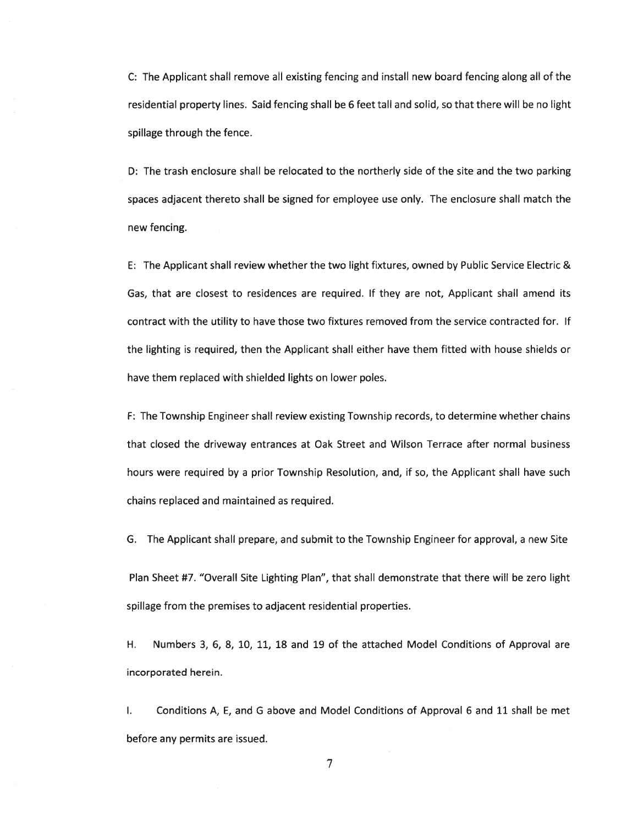C: The Applicant shall remove all existing fencing and install new board fencing along all of the residential property lines. Said fencing shall be 6 feet tall and solid, so that there will be no light spillage through the fence.

D: The trash enclosure shall be relocated to the northerly side of the site and the two parking spaces adjacent thereto shall be signed for employee use only. The enclosure shall match the new fencing.

E: The Applicant shall review whether the two light fixtures, owned by Public Service Electric & Gas, that are closest to residences are required. If they are not, Applicant shall amend its contract with the utility to have those two fixtures removed from the service contracted for. If the lighting is required, then the Applicant shall either have them fitted with house shields or have them replaced with shielded lights on lower poles.

F: The Township Engineer shall review existing Township records, to determine whether chains that closed the driveway entrances at Oak Street and Wilson Terrace after normal business hours were required by <sup>a</sup> prior Township Resolution, and, if so, the Applicant shall have such chains replaced and maintained as required.

G. The Applicant shall prepare, and submit to the Township Engineer for approval, <sup>a</sup> new Site

Plan Sheet #7. "Overall Site Lighting Plan", that shall demonstrate that there will be zero light spillage from the premises to adjacent residential properties.

H. Numbers 3, 6, 8, 10, 11, 18 and 19 of the attached Model Conditions of Approval are incorporated herein.

I. Conditions A, E, and G above and Model Conditions of Approval 6 and 11 shall be met before any permits are issued.

7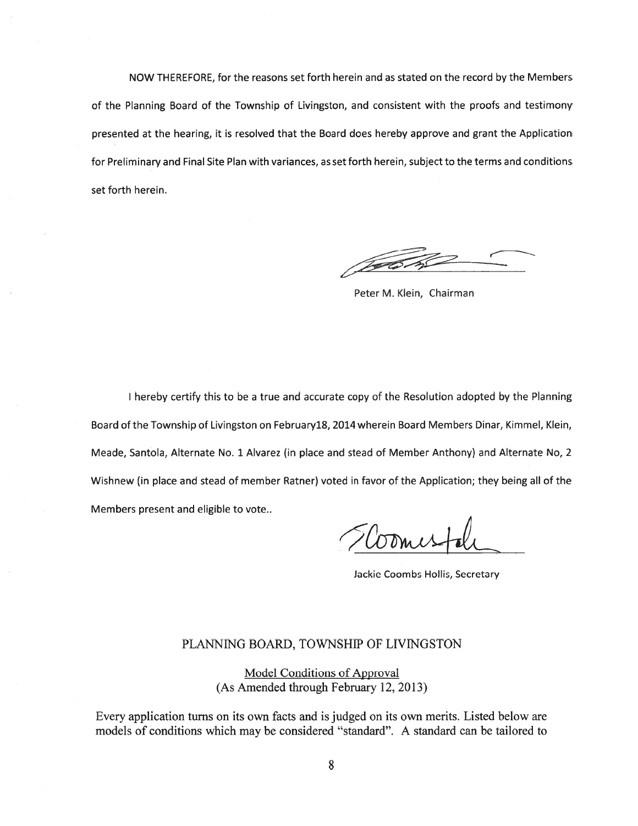NOW THEREFORE, for the reasons set forth herein and as stated on the record by the Members of the Planning Board of the Township of Livingston, and consistent with the proofs and testimony presented at the hearing, it is resolved that the Board does hereby approve and gran<sup>t</sup> the Application for Preliminary and Final Site Plan with variances, as set forth herein, subject to the terms and conditions set forth herein.

Peter M. Klein, Chairman

I hereby certify this to be <sup>a</sup> true and accurate copy of the Resolution adopted by the Planning Board of the Township of Livingston on Februaryl8, 2014 wherein Board Members Dinar, Kimmel, Klein, Meade, Santola, Alternate No. 1 Alvarez (in place and stead of Member Anthony) and Alternate No, 2 Wishnew (in place and stead of member Ratner) voted in favor of the Application; they being all of the Members presen<sup>t</sup> and eligible to vote..

ODme!

Jackie Coombs Hollis, Secretary

### PLANNING BOARD, TOWNSHIP OF LIVINGSTON

Model Conditions of Approval (As Amended through February 12, 2013)

Every application turns on its own facts and is judged on its own merits. Listed below are models of conditions which may be considered "standard". A standard can be tailored to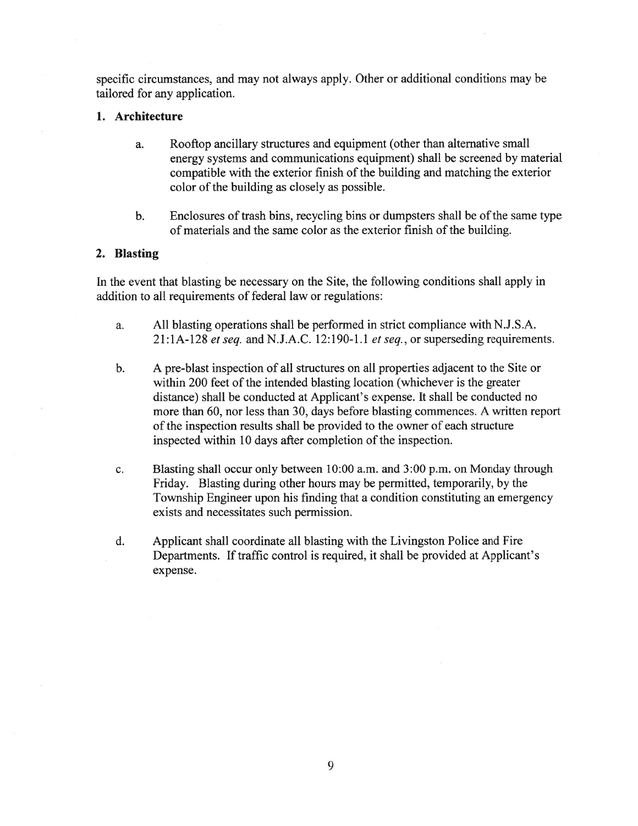specific circumstances, and may not always apply. Other or additional conditions may be tailored for any application.

### 1. Architecture

- a. Rooftop ancillary structures and equipment (other than alternative small energy systems and communications equipment) shall be screened by material compatible with the exterior finish of the building and matching the exterior color of the building as closely as possible.
- b. Enclosures of trash bins, recycling bins or dumpsters shall be of the same type of materials and the same color as the exterior finish of the building.

## 2. Blasting

In the event that blasting be necessary on the Site, the following conditions shall apply in addition to all requirements of federal law or regulations:

- a. All blasting operations shall be performed in strict compliance with N.J.S.A.  $21:1A-128$  et seq. and N.J.A.C. 12:190-1.1 et seq., or superseding requirements.
- b. A pre-blast inspection of all structures on all properties adjacent to the Site or within 200 feet of the intended blasting location (whichever is the greater distance) shall be conducted at Applicant's expense. It shall be conducted no more than 60, nor less than 30, days before blasting commences. A written repor<sup>t</sup> of the inspection results shall be provided to the owner of each structure inspected within 10 days after completion of the inspection.
- c. Blasting shall occur only between 10:00 a.m. and 3:00 p.m. on Monday through Friday. Blasting during other hours may be permitted, temporarily, by the Township Engineer upon his finding that <sup>a</sup> condition constituting an emergency exists and necessitates such permission.
- d. Applicant shall coordinate all blasting with the Livingston Police and Fire Departments. If traffic control is required, it shall be provided at Applicant's expense.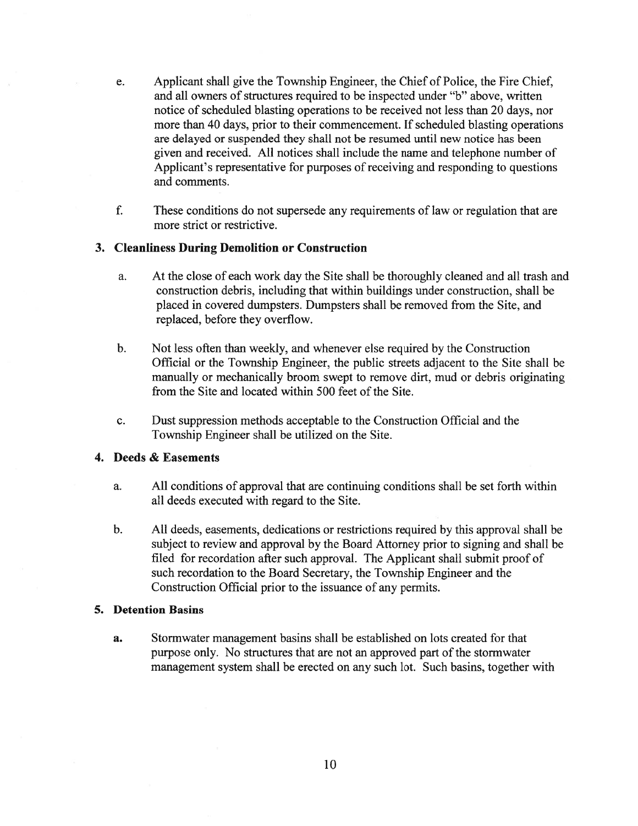- e. Applicant shall give the Township Engineer, the Chief of Police, the Fire Chief, and all owners of structures required to be inspected under "b" above, written notice of scheduled blasting operations to be received not less than 20 days, nor more than 40 days, prior to their commencement. If scheduled blasting operations are delayed or suspended they shall not be resumed until new notice has been given and received. All notices shall include the name and telephone number of Applicant's representative for purposes of receiving and responding to questions and comments.
- f. These conditions do not supersede any requirements of law or regulation that are more strict or restrictive.

### 3. Cleanliness During Demolition or Construction

- a. At the close of each work day the Site shall be thoroughly cleaned and all trash and construction debris, including that within buildings under construction, shall be placed in covered dumpsters. Dumpsters shall be removed from the Site, and replaced, before they overflow.
- b. Not less often than weekly, and whenever else required by the Construction Official or the Township Engineer, the public streets adjacent to the Site shall be manually or mechanically broom swep<sup>t</sup> to remove dirt, mud or debris originating from the Site and located within 500 feet of the Site.
- c. Dust suppression methods acceptable to the Construction Official and the Township Engineer shall be utilized on the Site.

## 4. Deeds & Easements

- a. All conditions of approval that are continuing conditions shall be set forth within all deeds executed with regard to the Site.
- b. All deeds, easements, dedications or restrictions required by this approval shall be subject to review and approval by the Board Attorney prior to signing and shall be filed for recordation after such approval. The Applicant shall submit proof of such recordation to the Board Secretary, the Township Engineer and the Construction Official prior to the issuance of any permits.

## 5. Detention Basins

a. Stormwater managemen<sup>t</sup> basins shall be established on lots created for that purpose only. No structures that are not an approved par<sup>t</sup> of the stormwater managemen<sup>t</sup> system shall be erected on any such lot. Such basins, together with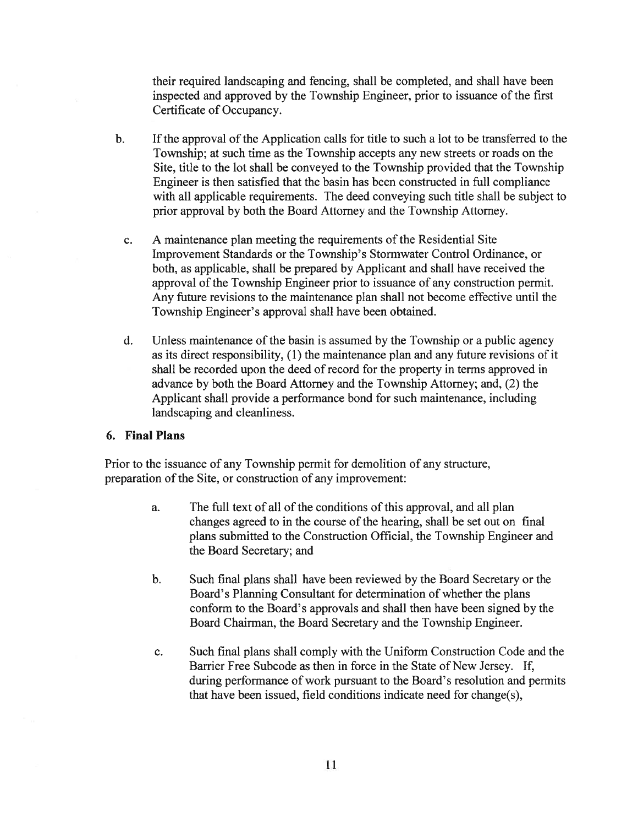their required landscaping and fencing, shall be completed, and shall have been inspected and approved by the Township Engineer, prior to issuance of the first Certificate of Occupancy.

- b. If the approval of the Application calls for title to such a lot to be transferred to the Township; at such time as the Township accepts any new streets or roads on the Site, title to the lot shall be conveyed to the Township provided that the Township Engineer is then satisfied that the basin has been constructed in full compliance with all applicable requirements. The deed conveying such title shall be subject to prior approval by both the Board Attorney and the Township Attorney.
	- c. A maintenance plan meeting the requirements of the Residential Site Improvement Standards or the Township's Stormwater Control Ordinance, or both, as applicable, shall be prepared by Applicant and shall have received the approval of the Township Engineer prior to issuance of any construction permit. Any future revisions to the maintenance plan shall not become effective until the Township Engineer's approval shall have been obtained.
	- d. Unless maintenance of the basin is assumed by the Township or <sup>a</sup> public agency as its direct responsibility, (1) the maintenance plan and any future revisions of it shall be recorded upon the deed of record for the property in terms approved in advance by both the Board Attorney and the Township Attorney; and, (2) the Applicant shall provide <sup>a</sup> performance bond for such maintenance, including landscaping and cleanliness.

### 6. Final Plans

Prior to the issuance of any Township permit for demolition of any structure, preparation of the Site, or construction of any improvement:

- a. The full text of all of the conditions of this approval, and all plan changes agreed to in the course of the hearing, shall be set out on final plans submitted to the Construction Official, the Township Engineer and the Board Secretary; and
- b. Such final plans shall have been reviewed by the Board Secretary or the Board's Planning Consultant for determination of whether the plans conform to the Board's approvals and shall then have been signed by the Board Chairman, the Board Secretary and the Township Engineer.
- c. Such final plans shall comply with the Uniform Construction Code and the Barrier Free Subcode as then in force in the State of New Jersey. If, during performance of work pursuan<sup>t</sup> to the Board's resolution and permits that have been issued, field conditions indicate need for change(s),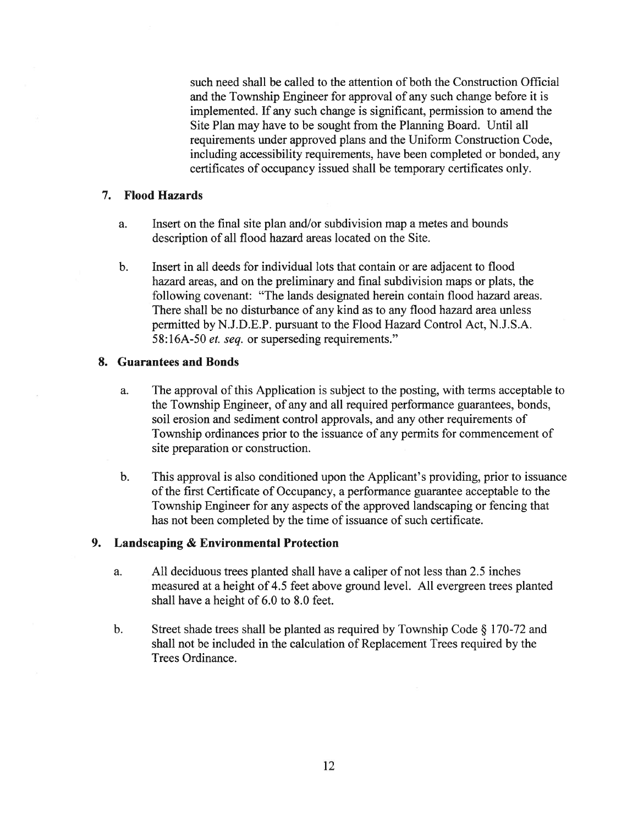such need shall be called to the attention of both the Construction Official and the Township Engineer for approval of any such change before it is implemented. If any such change is significant, permission to amend the Site Plan may have to be sought from the Planning Board. Until all requirements under approved plans and the Uniform Construction Code, including accessibility requirements, have been completed or bonded, any certificates of occupancy issued shall be temporary certificates only.

## 7. Flood Hazards

- a. Insert on the final site plan and/or subdivision map <sup>a</sup> metes and bounds description of all flood hazard areas located on the Site.
- b. Insert in all deeds for individual lots that contain or are adjacent to flood hazard areas, and on the preliminary and final subdivision maps or plats, the following covenant: "The lands designated herein contain flood hazard areas. There shall be no disturbance of any kind as to any flood hazard area unless permitted by N.J.D.E.P. pursuan<sup>t</sup> to the Flood Hazard Control Act, N.J.S.A. 58:16A-50 et. seq. or superseding requirements."

## 8. Guarantees and Bonds

- a. The approval of this Application is subject to the posting, with terms acceptable to the Township Engineer, of any and all required performance guarantees, bonds, soil erosion and sediment control approvals, and any other requirements of Township ordinances prior to the issuance of any permits for commencement of site preparation or construction.
- b. This approval is also conditioned upon the Applicant's providing, prior to issuance of the first Certificate of Occupancy, <sup>a</sup> performance guarantee acceptable to the Township Engineer for any aspects of the approved landscaping or fencing that has not been completed by the time of issuance of such certificate.

## 9. Landscaping & Environmental Protection

- a. All deciduous trees planted shall have <sup>a</sup> caliper of not less than 2.5 inches measured at <sup>a</sup> height of 4.5 feet above ground level. All evergreen trees planted shall have <sup>a</sup> height of 6.0 to 8.0 feet.
- b. Street shade trees shall be <sup>p</sup>lanted as required by Township Code § 170-72 and shall not be included in the calculation of Replacement Trees required by the Trees Ordinance.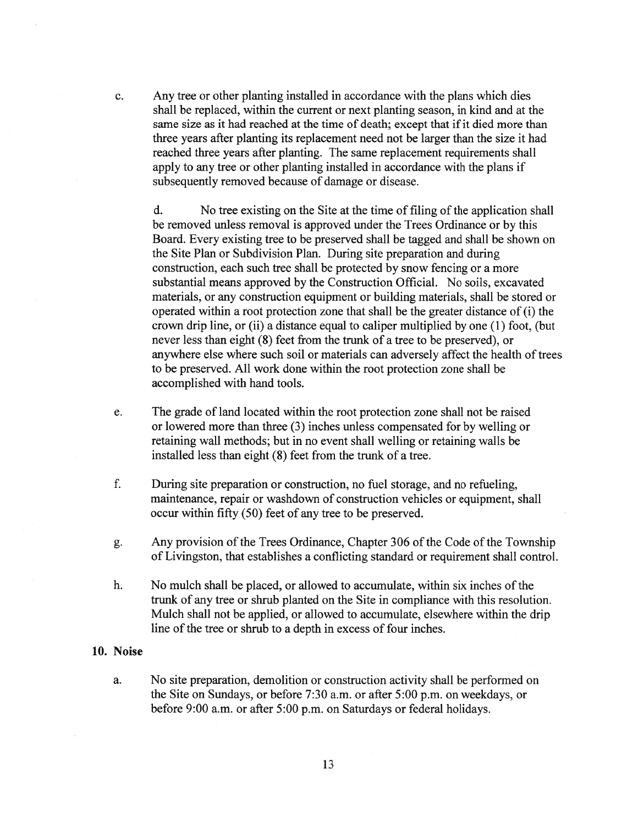c. Any tree or other planting installed in accordance with the plans which dies shall be replaced, within the current or next planting season, in kind and at the same size as it had reached at the time of death; excep<sup>t</sup> that if it died more than three years after planting its replacement need not be larger than the size it had reached three years after planting. The same replacement requirements shall apply to any tree or other planting installed in accordance with the plans if subsequently removed because of damage or disease.

d. No tree existing on the Site at the time of filing of the application shall be removed unless removal is approved under the Trees Ordinance or by this Board. Every existing tree to be preserved shall be tagged and shall be shown on the Site Plan or Subdivision Plan. During site preparation and during construction, each such tree shall be protected by snow fencing or <sup>a</sup> more substantial means approved by the Construction Official. No soils, excavated materials, or any construction equipment or building materials, shall be stored or operated within <sup>a</sup> root protection zone that shall be the greater distance of (i) the crown drip line, or (ii) <sup>a</sup> distance equal to caliper multiplied by one (1) foot, (but never less than eight (8) feet from the trunk of <sup>a</sup> tree to be preserved), or anywhere else where such soil or materials can adversely affect the health of trees to be preserved. All work done within the root protection zone shall be accomplished with hand tools.

- e. The grade of land located within the root protection zone shall not be raised or lowered more than three (3) inches unless compensated for by welling or retaining wall methods; but in no event shall welling or retaining walls be installed less than eight (8) feet from the trunk of <sup>a</sup> tree.
- f. During site preparation or construction, no fuel storage, and no refueling, maintenance, repair or washdown of construction vehicles or equipment, shall occur within fifty (50) feet of any tree to be preserved.
- g. Any provision of the Trees Ordinance, Chapter 306 of the Code of the Township of Livingston, that establishes <sup>a</sup> conflicting standard or requirement shall control.
- h. No mulch shall be placed, or allowed to accumulate, within six inches of the trunk of any tree or shrub planted on the Site in compliance with this resolution. Mulch shall not be applied, or allowed to accumulate, elsewhere within the drip line of the tree or shrub to <sup>a</sup> depth in excess of four inches.

## 10. Noise

a. No site preparation, demolition or construction activity shall be performed on the Site on Sundays, or before 7:30 a.m. or after 5:00 p.m. on weekdays, or before 9:00 a.m. or after 5:00 p.m. on Saturdays or federal holidays.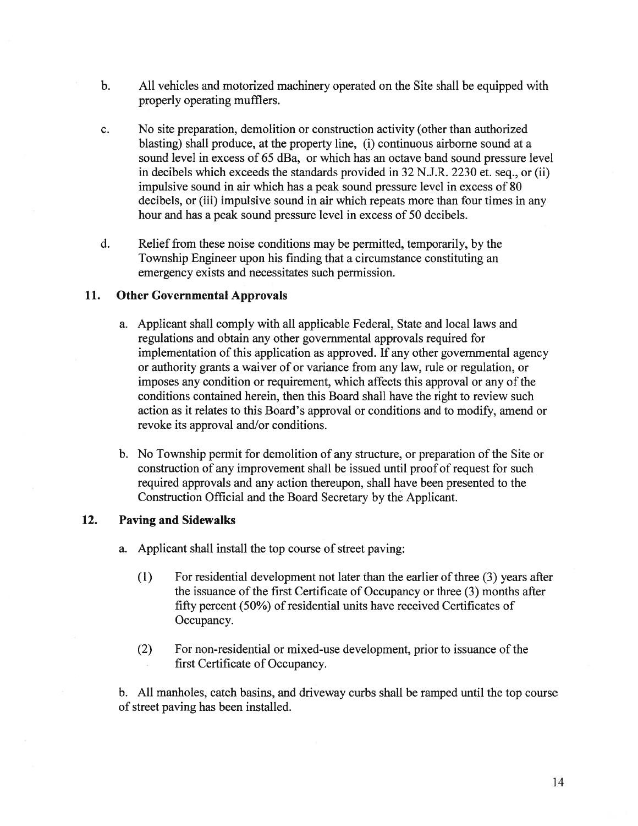- b. All vehicles and motorized machinery operated on the Site shall be equipped with properly operating mufflers.
- c. No site preparation, demolition or construction activity (other than authorized blasting) shall produce, at the property line, (i) continuous airborne sound at <sup>a</sup> sound level in excess of 65 dBa, or which has an octave band sound pressure level in decibels which exceeds the standards provided in 32 N.J.R. 2230 et. seq., or (ii) impulsive sound in air which has <sup>a</sup> peak sound pressure level in excess of 80 decibels, or (iii) impulsive sound in air which repeats more than four times in any hour and has <sup>a</sup> peak sound pressure level in excess of 50 decibels.
- d. Relief from these noise conditions may be permitted, temporarily, by the Township Engineer upon his finding that <sup>a</sup> circumstance constituting an emergency exists and necessitates such permission.

## 11. Other Governmental Approvals

- a. Applicant shall comply with all applicable Federal, State and local laws and regulations and obtain any other governmental approvals required for implementation of this application as approved. If any other governmental agency or authority grants <sup>a</sup> waiver of or variance from any law, rule or regulation, or imposes any condition or requirement, which affects this approval or any of the conditions contained herein, then this Board shall have the right to review such action as it relates to this Board's approval or conditions and to modify, amend or revoke its approval and/or conditions.
- b. No Township permit for demolition of any structure, or preparation of the Site or construction of any improvement shall be issued until proof of reques<sup>t</sup> for such required approvals and any action thereupon, shall have been presented to the Construction Official and the Board Secretary by the Applicant.

## 12. Paving and Sidewalks

- a. Applicant shall install the top course of street paving:
	- (1) For residential development not later than the earlier of three (3) years after the issuance of the first Certificate of Occupancy or three (3) months after fifty percent (50%) of residential units have received Certificates of Occupancy.
	- (2) For non-residential or mixed-use development, prior to issuance of the first Certificate of Occupancy.

b. All manholes, catch basins, and driveway curbs shall be ramped until the top course of street paving has been installed.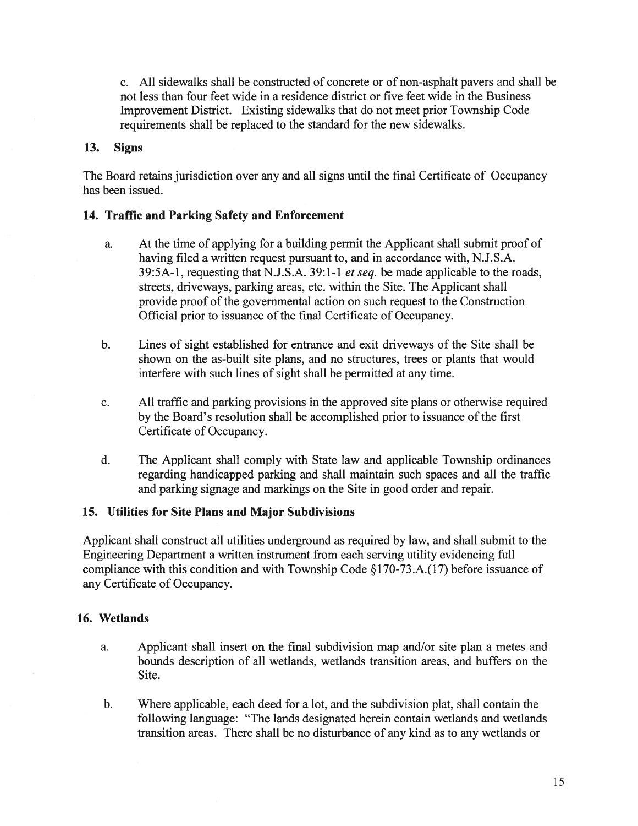c. All sidewalks shall be constructed of concrete or of non-asphalt payers and shall be not less than four feet wide in <sup>a</sup> residence district or five feet wide in the Business Improvement District. Existing sidewalks that do not meet prior Township Code requirements shall be replaced to the standard for the new sidewalks.

## 13. Signs

The Board retains jurisdiction over any and all signs until the final Certificate of Occupancy has been issued.

# 14. Traffic and Parking Safety and Enforcement

- a. At the time of applying for <sup>a</sup> building permit the Applicant shall submit proof of having filed <sup>a</sup> written reques<sup>t</sup> pursuan<sup>t</sup> to, and in accordance with, N.J.S.A. 39:5A-l, requesting that N.J.S.A. 39:1-1 et seq. be made applicable to the roads, streets, driveways, parking areas, etc. within the Site. The Applicant shall provide proof of the governmental action on such reques<sup>t</sup> to the Construction Official prior to issuance of the final Certificate of Occupancy.
- b. Lines of sight established for entrance and exit driveways of the Site shall be shown on the as-built site plans, and no structures, trees or plants that would interfere with such lines of sight shall be pennitted at any time.
- c. All traffic and parking provisions in the approved site plans or otherwise required by the Board's resolution shall be accomplished prior to issuance of the first Certificate of Occupancy.
- d. The Applicant shall comply with State law and applicable Township ordinances regarding handicapped parking and shall maintain such spaces and all the traffic and parking signage and markings on the Site in good order and repair.

# 15. Utilities for Site Plans and Major Subdivisions

Applicant shall construct all utilities underground as required by law, and shall submit to the Engineering Department <sup>a</sup> written instrument from each serving utility evidencing full compliance with this condition and with Township Code §170-73.A.(17) before issuance of any Certificate of Occupancy.

# 16. Wetlands

- a. Applicant shall insert on the final subdivision map and/or site plan <sup>a</sup> metes and bounds description of all wetlands, wetlands transition areas, and buffers on the Site.
- b. Where applicable, each deed for <sup>a</sup> lot, and the subdivision plat, shall contain the following language: "The lands designated herein contain wetlands and wetlands transition areas. There shall be no disturbance of any kind as to any wetlands or